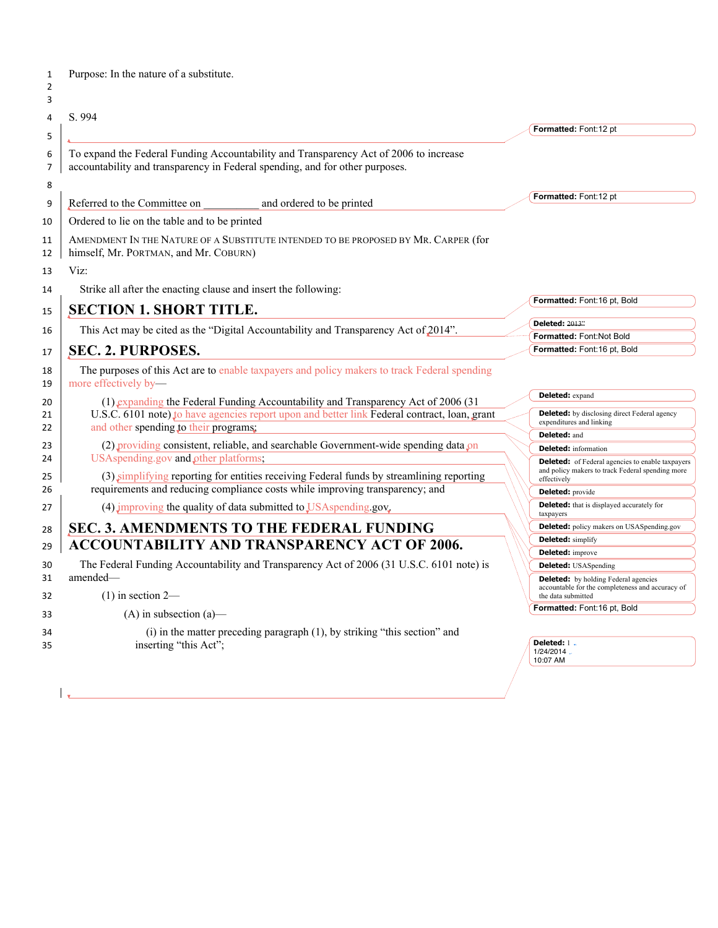| 1<br>$\overline{2}$<br>3 | Purpose: In the nature of a substitute.                                                                                                                               |                                                                                                                       |
|--------------------------|-----------------------------------------------------------------------------------------------------------------------------------------------------------------------|-----------------------------------------------------------------------------------------------------------------------|
| 4                        | S. 994                                                                                                                                                                |                                                                                                                       |
| 5                        |                                                                                                                                                                       | Formatted: Font:12 pt                                                                                                 |
| 6<br>7                   | To expand the Federal Funding Accountability and Transparency Act of 2006 to increase<br>accountability and transparency in Federal spending, and for other purposes. |                                                                                                                       |
| 8                        |                                                                                                                                                                       | Formatted: Font:12 pt                                                                                                 |
| 9                        | Referred to the Committee on<br>and ordered to be printed                                                                                                             |                                                                                                                       |
| 10                       | Ordered to lie on the table and to be printed                                                                                                                         |                                                                                                                       |
| 11<br>12                 | AMENDMENT IN THE NATURE OF A SUBSTITUTE INTENDED TO BE PROPOSED BY MR. CARPER (for<br>himself, Mr. PORTMAN, and Mr. COBURN)                                           |                                                                                                                       |
| 13                       | Viz:                                                                                                                                                                  |                                                                                                                       |
| 14                       | Strike all after the enacting clause and insert the following:                                                                                                        |                                                                                                                       |
|                          | <b>SECTION 1. SHORT TITLE.</b>                                                                                                                                        | Formatted: Font:16 pt, Bold                                                                                           |
| 15                       |                                                                                                                                                                       | <b>Deleted: 2013"</b>                                                                                                 |
| 16                       | This Act may be cited as the "Digital Accountability and Transparency Act of 2014".                                                                                   | Formatted: Font:Not Bold                                                                                              |
| 17                       | <b>SEC. 2. PURPOSES.</b>                                                                                                                                              | Formatted: Font:16 pt, Bold                                                                                           |
| 18<br>19                 | The purposes of this Act are to enable taxpayers and policy makers to track Federal spending<br>more effectively by-                                                  |                                                                                                                       |
| 20                       | (1) expanding the Federal Funding Accountability and Transparency Act of 2006 (31)                                                                                    | <b>Deleted:</b> expand                                                                                                |
| 21<br>22                 | U.S.C. 6101 note) to have agencies report upon and better link Federal contract, loan, grant<br>and other spending to their programs;                                 | <b>Deleted:</b> by disclosing direct Federal agency<br>expenditures and linking                                       |
| 23                       | (2) providing consistent, reliable, and searchable Government-wide spending data $\rho$ n                                                                             | Deleted: and                                                                                                          |
| 24                       | USAspending.gov and other platforms,                                                                                                                                  | <b>Deleted:</b> information<br><b>Deleted:</b> of Federal agencies to enable taxpayers                                |
| 25                       | (3) simplifying reporting for entities receiving Federal funds by streamlining reporting                                                                              | and policy makers to track Federal spending more<br>effectively                                                       |
| 26                       | requirements and reducing compliance costs while improving transparency; and                                                                                          | <b>Deleted:</b> provide                                                                                               |
| 27                       | (4) improving the quality of data submitted to USAspending.gov.                                                                                                       | <b>Deleted:</b> that is displayed accurately for<br>taxpayers                                                         |
| 28                       | <b>SEC. 3. AMENDMENTS TO THE FEDERAL FUNDING</b>                                                                                                                      | <b>Deleted:</b> policy makers on USASpending.gov                                                                      |
| 29                       | <b>ACCOUNTABILITY AND TRANSPARENCY ACT OF 2006.</b>                                                                                                                   | <b>Deleted:</b> simplify                                                                                              |
|                          |                                                                                                                                                                       | <b>Deleted:</b> improve                                                                                               |
| 30<br>31                 | The Federal Funding Accountability and Transparency Act of 2006 (31 U.S.C. 6101 note) is<br>amended-                                                                  | <b>Deleted:</b> USASpending                                                                                           |
| 32                       | $(1)$ in section 2—                                                                                                                                                   | <b>Deleted:</b> by holding Federal agencies<br>accountable for the completeness and accuracy of<br>the data submitted |
| 33                       | $(A)$ in subsection $(a)$ —                                                                                                                                           | Formatted: Font:16 pt, Bold                                                                                           |
| 34<br>35                 | (i) in the matter preceding paragraph (1), by striking "this section" and<br>inserting "this Act";                                                                    | Deleted: 1.<br>1/24/2014.<br>10:07 AM                                                                                 |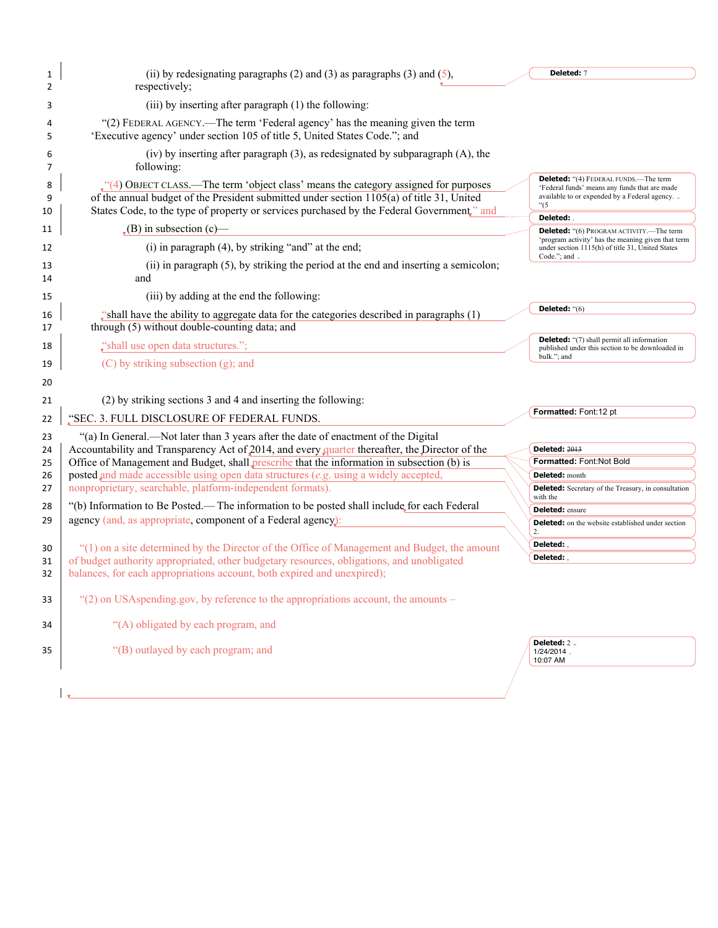| 1<br>2       | (ii) by redesignating paragraphs $(2)$ and $(3)$ as paragraphs $(3)$ and $(5)$ ,<br>respectively;                                                                                                                                                                                     | Deleted: 7                                                                                                                                              |
|--------------|---------------------------------------------------------------------------------------------------------------------------------------------------------------------------------------------------------------------------------------------------------------------------------------|---------------------------------------------------------------------------------------------------------------------------------------------------------|
| 3            | (iii) by inserting after paragraph (1) the following:                                                                                                                                                                                                                                 |                                                                                                                                                         |
| 4<br>5       | "(2) FEDERAL AGENCY.—The term 'Federal agency' has the meaning given the term<br>'Executive agency' under section 105 of title 5, United States Code."; and                                                                                                                           |                                                                                                                                                         |
| 6<br>7       | (iv) by inserting after paragraph (3), as redesignated by subparagraph (A), the<br>following:                                                                                                                                                                                         |                                                                                                                                                         |
| 8<br>9<br>10 | $\cdot$ (4) OBJECT CLASS.—The term 'object class' means the category assigned for purposes<br>of the annual budget of the President submitted under section 1105(a) of title 31, United<br>States Code, to the type of property or services purchased by the Federal Government," and | <b>Deleted:</b> "(4) FEDERAL FUNDS.—The term<br>'Federal funds' means any funds that are made<br>available to or expended by a Federal agency. .<br>"(5 |
| 11           | $\bullet$ (B) in subsection (c)—                                                                                                                                                                                                                                                      | Deleted:<br><b>Deleted:</b> "(6) PROGRAM ACTIVITY.—The term                                                                                             |
| 12           | (i) in paragraph (4), by striking "and" at the end;                                                                                                                                                                                                                                   | 'program activity' has the meaning given that term<br>under section 1115(h) of title 31, United States                                                  |
| 13<br>14     | (ii) in paragraph (5), by striking the period at the end and inserting a semicolon;<br>and                                                                                                                                                                                            | Code."; and .                                                                                                                                           |
| 15           | (iii) by adding at the end the following:                                                                                                                                                                                                                                             |                                                                                                                                                         |
| 16<br>17     | "shall have the ability to aggregate data for the categories described in paragraphs (1)<br>through (5) without double-counting data; and                                                                                                                                             | Deleted: "(6)                                                                                                                                           |
| 18           | "shall use open data structures.";                                                                                                                                                                                                                                                    | <b>Deleted:</b> "(7) shall permit all information<br>published under this section to be downloaded in                                                   |
| 19           | (C) by striking subsection (g); and                                                                                                                                                                                                                                                   | bulk."; and                                                                                                                                             |
| 20           |                                                                                                                                                                                                                                                                                       |                                                                                                                                                         |
| 21           | (2) by striking sections 3 and 4 and inserting the following:                                                                                                                                                                                                                         |                                                                                                                                                         |
| 22           | "SEC. 3. FULL DISCLOSURE OF FEDERAL FUNDS.                                                                                                                                                                                                                                            | Formatted: Font:12 pt                                                                                                                                   |
| 23           | "(a) In General.—Not later than 3 years after the date of enactment of the Digital                                                                                                                                                                                                    |                                                                                                                                                         |
| 24           | Accountability and Transparency Act of 2014, and every quarter thereafter, the Director of the                                                                                                                                                                                        | <b>Deleted: 2013</b>                                                                                                                                    |
| 25           | Office of Management and Budget, shall prescribe that the information in subsection (b) is                                                                                                                                                                                            | Formatted: Font:Not Bold                                                                                                                                |
| 26           | posted and made accessible using open data structures (e.g. using a widely accepted,                                                                                                                                                                                                  | Deleted: month                                                                                                                                          |
| 27           | nonproprietary, searchable, platform-independent formats).                                                                                                                                                                                                                            | <b>Deleted:</b> Secretary of the Treasury, in consultation<br>with the                                                                                  |
| 28           | "(b) Information to Be Posted.— The information to be posted shall include for each Federal                                                                                                                                                                                           | <b>Deleted:</b> ensure                                                                                                                                  |
| 29           | agency (and, as appropriate, component of a Federal agency):                                                                                                                                                                                                                          | <b>Deleted:</b> on the website established under section<br>2.                                                                                          |
|              |                                                                                                                                                                                                                                                                                       | Deleted:                                                                                                                                                |
| 30           | "(1) on a site determined by the Director of the Office of Management and Budget, the amount                                                                                                                                                                                          | Deleted:                                                                                                                                                |
| 31<br>32     | of budget authority appropriated, other budgetary resources, obligations, and unobligated<br>balances, for each appropriations account, both expired and unexpired);                                                                                                                  |                                                                                                                                                         |
| 33           | "(2) on USAspending.gov, by reference to the appropriations account, the amounts –                                                                                                                                                                                                    |                                                                                                                                                         |
| 34           | "(A) obligated by each program, and                                                                                                                                                                                                                                                   |                                                                                                                                                         |
| 35           | "(B) outlayed by each program; and                                                                                                                                                                                                                                                    | Deleted: 2.<br>1/24/2014.<br>10:07 AM                                                                                                                   |
|              |                                                                                                                                                                                                                                                                                       |                                                                                                                                                         |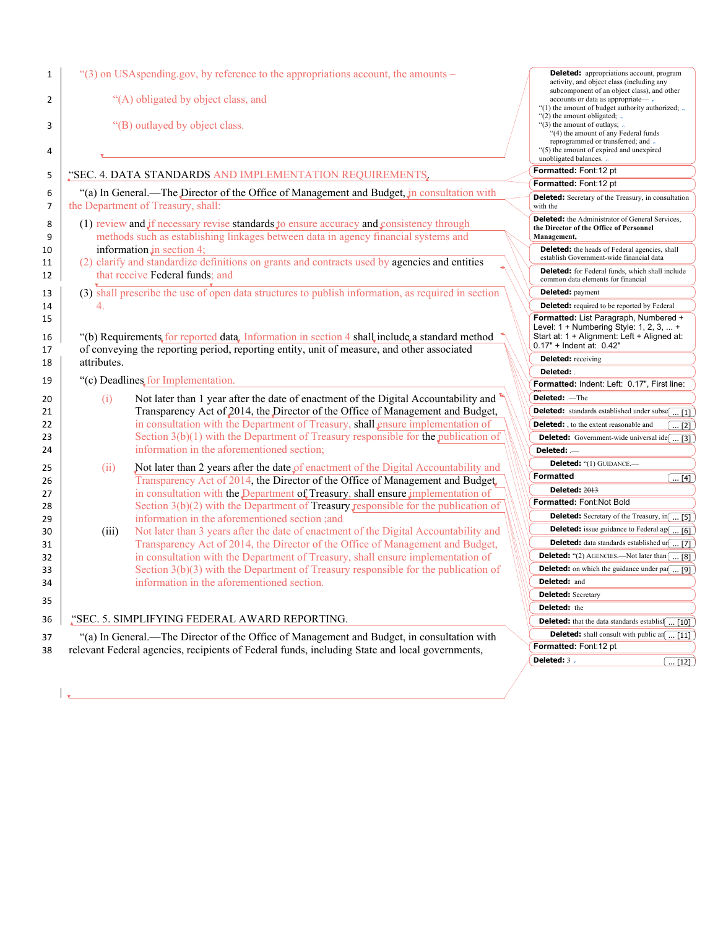| 1<br>2<br>3<br>4 |             | "(3) on USAspending.gov, by reference to the appropriations account, the amounts –<br>"(A) obligated by object class, and<br>"(B) outlayed by object class.                                 | <b>Deleted:</b> appropriations account, program<br>activity, and object class (including any<br>subcomponent of an object class), and other<br>accounts or data as appropriate— .<br>"(1) the amount of budget authority authorized; -<br>" $(2)$ the amount obligated; $\cdot$<br>"(3) the amount of outlays; .<br>"(4) the amount of any Federal funds<br>reprogrammed or transferred; and .<br>"(5) the amount of expired and unexpired<br>unobligated balances. . |
|------------------|-------------|---------------------------------------------------------------------------------------------------------------------------------------------------------------------------------------------|-----------------------------------------------------------------------------------------------------------------------------------------------------------------------------------------------------------------------------------------------------------------------------------------------------------------------------------------------------------------------------------------------------------------------------------------------------------------------|
| 5                |             | "SEC. 4. DATA STANDARDS AND IMPLEMENTATION REQUIREMENTS,                                                                                                                                    | Formatted: Font:12 pt                                                                                                                                                                                                                                                                                                                                                                                                                                                 |
|                  |             |                                                                                                                                                                                             | Formatted: Font:12 pt                                                                                                                                                                                                                                                                                                                                                                                                                                                 |
| 6<br>7           |             | "(a) In General.—The Director of the Office of Management and Budget, in consultation with<br>the Department of Treasury, shall:                                                            | <b>Deleted:</b> Secretary of the Treasury, in consultation<br>with the                                                                                                                                                                                                                                                                                                                                                                                                |
| 8<br>9           |             | (1) review and $\int$ if necessary revise standards $\int$ o ensure accuracy and consistency through<br>methods such as establishing linkages between data in agency financial systems and  | <b>Deleted:</b> the Administrator of General Services,<br>the Director of the Office of Personnel<br>Management,                                                                                                                                                                                                                                                                                                                                                      |
| 10<br>11         |             | information $jn$ section 4;<br>(2) clarify and standardize definitions on grants and contracts used by agencies and entities                                                                | <b>Deleted:</b> the heads of Federal agencies, shall<br>establish Government-wide financial data                                                                                                                                                                                                                                                                                                                                                                      |
| 12               |             | that receive Federal funds; and                                                                                                                                                             | <b>Deleted:</b> for Federal funds, which shall include<br>common data elements for financial                                                                                                                                                                                                                                                                                                                                                                          |
| 13               |             | (3) shall prescribe the use of open data structures to publish information, as required in section                                                                                          | <b>Deleted:</b> payment                                                                                                                                                                                                                                                                                                                                                                                                                                               |
| 14               | 4.          |                                                                                                                                                                                             | <b>Deleted:</b> required to be reported by Federal                                                                                                                                                                                                                                                                                                                                                                                                                    |
| 15<br>16<br>17   |             | "(b) Requirements for reported data, Information in section 4 shall include a standard method<br>of conveying the reporting period, reporting entity, unit of measure, and other associated | Formatted: List Paragraph, Numbered +<br>Level: $1 +$ Numbering Style: 1, 2, 3,  +<br>Start at: 1 + Alignment: Left + Aligned at:<br>0.17" + Indent at: 0.42"                                                                                                                                                                                                                                                                                                         |
| 18               | attributes. |                                                                                                                                                                                             | <b>Deleted:</b> receiving                                                                                                                                                                                                                                                                                                                                                                                                                                             |
|                  |             |                                                                                                                                                                                             | Deleted:                                                                                                                                                                                                                                                                                                                                                                                                                                                              |
| 19               |             | "(c) Deadlines, for Implementation.                                                                                                                                                         | Formatted: Indent: Left: 0.17", First line:                                                                                                                                                                                                                                                                                                                                                                                                                           |
| 20               | (i)         | Not later than 1 year after the date of enactment of the Digital Accountability and                                                                                                         | Deleted: .-The                                                                                                                                                                                                                                                                                                                                                                                                                                                        |
| 21               |             | Transparency Act of 2014, the Director of the Office of Management and Budget,                                                                                                              | <b>Deleted:</b> standards established under subse $\boxed{ [1]}$                                                                                                                                                                                                                                                                                                                                                                                                      |
| 22               |             | in consultation with the Department of Treasury, shall ensure implementation of                                                                                                             | <b>Deleted:</b> , to the extent reasonable and<br>$\ldots$ [2]                                                                                                                                                                                                                                                                                                                                                                                                        |
| 23               |             | Section $3(b)(1)$ with the Department of Treasury responsible for the publication of                                                                                                        | <b>Deleted:</b> Government-wide universal ide $\boxed{ [3]}$                                                                                                                                                                                                                                                                                                                                                                                                          |
| 24               |             | information in the aforementioned section;                                                                                                                                                  | Deleted: —                                                                                                                                                                                                                                                                                                                                                                                                                                                            |
| 25               | (ii)        | Not later than 2 years after the date of enactment of the Digital Accountability and                                                                                                        | <b>Deleted:</b> "(1) GUIDANCE.-                                                                                                                                                                                                                                                                                                                                                                                                                                       |
| 26               |             | Transparency Act of 2014, the Director of the Office of Management and Budget.                                                                                                              | Formatted<br>$\boxed{ [4]}$                                                                                                                                                                                                                                                                                                                                                                                                                                           |
| 27               |             | in consultation with the Department of Treasury, shall ensure implementation of                                                                                                             | <b>Deleted: 2013</b>                                                                                                                                                                                                                                                                                                                                                                                                                                                  |
| 28               |             | Section $3(b)(2)$ with the Department of Treasury responsible for the publication of                                                                                                        | Formatted: Font:Not Bold                                                                                                                                                                                                                                                                                                                                                                                                                                              |
| 29               |             | information in the aforementioned section ;and                                                                                                                                              | <b>Deleted:</b> Secretary of the Treasury, in [ [5]                                                                                                                                                                                                                                                                                                                                                                                                                   |
| 30               | (iii)       | Not later than 3 years after the date of enactment of the Digital Accountability and                                                                                                        | <b>Deleted:</b> issue guidance to Federal ag $\overline{ [6]}$                                                                                                                                                                                                                                                                                                                                                                                                        |
| 31               |             | Transparency Act of 2014, the Director of the Office of Management and Budget,                                                                                                              | <b>Deleted:</b> data standards established $\text{ur}$ [7]                                                                                                                                                                                                                                                                                                                                                                                                            |
| 32               |             | in consultation with the Department of Treasury, shall ensure implementation of                                                                                                             | <b>Deleted:</b> "(2) AGENCIES.—Not later than $\boxed{\dots [8]}$                                                                                                                                                                                                                                                                                                                                                                                                     |
| 33               |             | Section $3(b)(3)$ with the Department of Treasury responsible for the publication of                                                                                                        | <b>Deleted:</b> on which the guidance under par $\overline{}$ [9]                                                                                                                                                                                                                                                                                                                                                                                                     |
| 34               |             | information in the aforementioned section.                                                                                                                                                  | Deleted: and                                                                                                                                                                                                                                                                                                                                                                                                                                                          |
|                  |             |                                                                                                                                                                                             | <b>Deleted:</b> Secretary                                                                                                                                                                                                                                                                                                                                                                                                                                             |
| 35               |             |                                                                                                                                                                                             | Deleted: the                                                                                                                                                                                                                                                                                                                                                                                                                                                          |
| 36               |             | "SEC. 5. SIMPLIFYING FEDERAL AWARD REPORTING.                                                                                                                                               | <b>Deleted:</b> that the data standards establish[ [10]                                                                                                                                                                                                                                                                                                                                                                                                               |
|                  |             | "(a) In General.—The Director of the Office of Management and Budget, in consultation with                                                                                                  | <b>Deleted:</b> shall consult with public an $\boxed{ [11]}$                                                                                                                                                                                                                                                                                                                                                                                                          |
| 37               |             | relevant Federal agencies, recipients of Federal funds, including State and local governments,                                                                                              | Formatted: Font:12 pt                                                                                                                                                                                                                                                                                                                                                                                                                                                 |
|                  |             |                                                                                                                                                                                             |                                                                                                                                                                                                                                                                                                                                                                                                                                                                       |
| 38               |             |                                                                                                                                                                                             | Deleted: 3.<br>$\left[\,\,12\right]$                                                                                                                                                                                                                                                                                                                                                                                                                                  |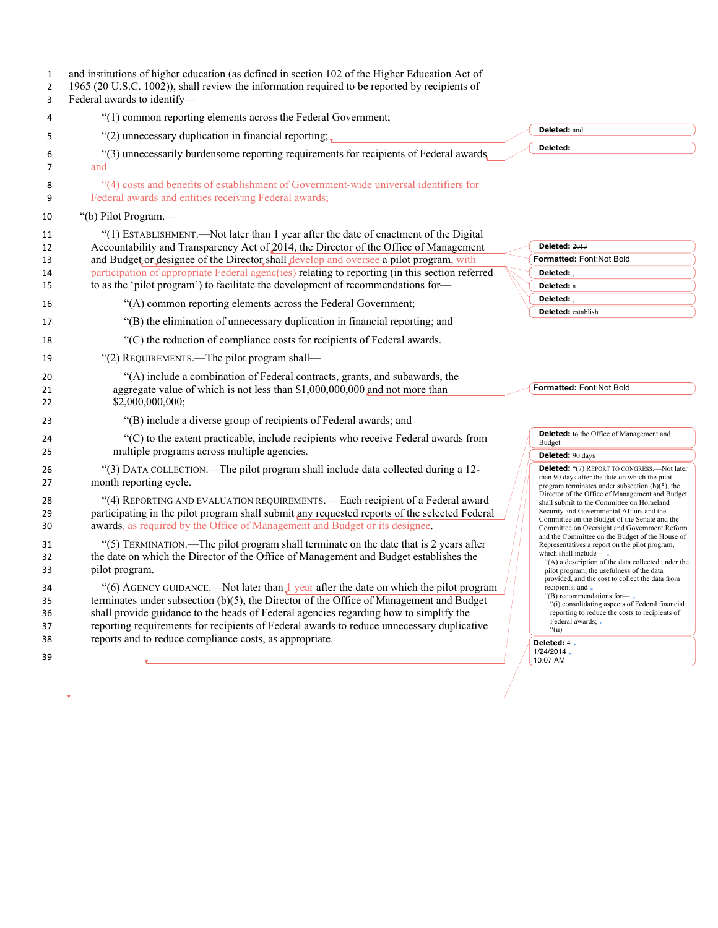| $\mathbf{1}$<br>$\overline{2}$<br>3 | and institutions of higher education (as defined in section 102 of the Higher Education Act of<br>1965 (20 U.S.C. 1002)), shall review the information required to be reported by recipients of<br>Federal awards to identify-                                                                                                                                                                                                               |  |                                                                                                                                                                                                                                                                                  |
|-------------------------------------|----------------------------------------------------------------------------------------------------------------------------------------------------------------------------------------------------------------------------------------------------------------------------------------------------------------------------------------------------------------------------------------------------------------------------------------------|--|----------------------------------------------------------------------------------------------------------------------------------------------------------------------------------------------------------------------------------------------------------------------------------|
| 4                                   | "(1) common reporting elements across the Federal Government;                                                                                                                                                                                                                                                                                                                                                                                |  |                                                                                                                                                                                                                                                                                  |
| 5                                   | "(2) unnecessary duplication in financial reporting;                                                                                                                                                                                                                                                                                                                                                                                         |  | Deleted: and                                                                                                                                                                                                                                                                     |
| 6<br>7                              | "(3) unnecessarily burdensome reporting requirements for recipients of Federal awards.                                                                                                                                                                                                                                                                                                                                                       |  | Deleted:                                                                                                                                                                                                                                                                         |
| 8<br>9                              | and<br>"(4) costs and benefits of establishment of Government-wide universal identifiers for<br>Federal awards and entities receiving Federal awards;                                                                                                                                                                                                                                                                                        |  |                                                                                                                                                                                                                                                                                  |
| 10                                  | "(b) Pilot Program.—                                                                                                                                                                                                                                                                                                                                                                                                                         |  |                                                                                                                                                                                                                                                                                  |
| 11<br>12<br>13<br>14                | "(1) ESTABLISHMENT.—Not later than 1 year after the date of enactment of the Digital<br>Accountability and Transparency Act of 2014, the Director of the Office of Management<br>and Budget or designee of the Director shall develop and oversee a pilot program, with<br>participation of appropriate Federal agenc(ies) relating to reporting (in this section referred                                                                   |  | <b>Deleted: 2013</b><br>Formatted: Font:Not Bold<br>Deleted:                                                                                                                                                                                                                     |
| 15                                  | to as the 'pilot program') to facilitate the development of recommendations for-                                                                                                                                                                                                                                                                                                                                                             |  | Deleted: a                                                                                                                                                                                                                                                                       |
| 16                                  | "(A) common reporting elements across the Federal Government;                                                                                                                                                                                                                                                                                                                                                                                |  | Deleted:                                                                                                                                                                                                                                                                         |
| 17                                  | "(B) the elimination of unnecessary duplication in financial reporting; and                                                                                                                                                                                                                                                                                                                                                                  |  | <b>Deleted:</b> establish                                                                                                                                                                                                                                                        |
| 18                                  | "(C) the reduction of compliance costs for recipients of Federal awards.                                                                                                                                                                                                                                                                                                                                                                     |  |                                                                                                                                                                                                                                                                                  |
| 19                                  | "(2) REQUIREMENTS.—The pilot program shall—                                                                                                                                                                                                                                                                                                                                                                                                  |  |                                                                                                                                                                                                                                                                                  |
| 20<br>21<br>22                      | "(A) include a combination of Federal contracts, grants, and subawards, the<br>aggregate value of which is not less than \$1,000,000,000 and not more than<br>\$2,000,000,000;                                                                                                                                                                                                                                                               |  | Formatted: Font:Not Bold                                                                                                                                                                                                                                                         |
| 23                                  | "(B) include a diverse group of recipients of Federal awards; and                                                                                                                                                                                                                                                                                                                                                                            |  |                                                                                                                                                                                                                                                                                  |
| 24<br>25                            | "(C) to the extent practicable, include recipients who receive Federal awards from<br>multiple programs across multiple agencies.                                                                                                                                                                                                                                                                                                            |  | <b>Deleted:</b> to the Office of Management and<br>Budget<br><b>Deleted: 90 days</b>                                                                                                                                                                                             |
| 26<br>27                            | "(3) DATA COLLECTION.—The pilot program shall include data collected during a 12-<br>month reporting cycle.                                                                                                                                                                                                                                                                                                                                  |  | <b>Deleted:</b> "(7) REPORT TO CONGRESS.—Not later<br>than 90 days after the date on which the pilot<br>program terminates under subsection $(b)(5)$ , the                                                                                                                       |
| 28<br>29<br>30                      | "(4) REPORTING AND EVALUATION REQUIREMENTS.— Each recipient of a Federal award<br>participating in the pilot program shall submit any requested reports of the selected Federal<br>awards, as required by the Office of Management and Budget or its designee.                                                                                                                                                                               |  | Director of the Office of Management and Budget<br>shall submit to the Committee on Homeland<br>Security and Governmental Affairs and the<br>Committee on the Budget of the Senate and the<br>Committee on Oversight and Government Reform                                       |
| 31<br>32<br>33                      | "(5) TERMINATION.—The pilot program shall terminate on the date that is 2 years after<br>the date on which the Director of the Office of Management and Budget establishes the<br>pilot program.                                                                                                                                                                                                                                             |  | and the Committee on the Budget of the House of<br>Representatives a report on the pilot program,<br>which shall include—.<br>"(A) a description of the data collected under the<br>pilot program, the usefulness of the data<br>provided, and the cost to collect the data from |
| 34<br>35<br>36<br>37                | "(6) AGENCY GUIDANCE.—Not later than $\downarrow$ year after the date on which the pilot program<br>terminates under subsection (b)(5), the Director of the Office of Management and Budget<br>shall provide guidance to the heads of Federal agencies regarding how to simplify the<br>reporting requirements for recipients of Federal awards to reduce unnecessary duplicative<br>reports and to reduce compliance costs, as appropriate. |  | recipients; and -<br>$E(B)$ recommendations for-<br>"(i) consolidating aspects of Federal financial<br>reporting to reduce the costs to recipients of<br>Federal awards; -<br>"(ii)                                                                                              |
| 38<br>39                            |                                                                                                                                                                                                                                                                                                                                                                                                                                              |  | Deleted: 4.<br>1/24/2014.<br>10:07 AM                                                                                                                                                                                                                                            |
|                                     |                                                                                                                                                                                                                                                                                                                                                                                                                                              |  |                                                                                                                                                                                                                                                                                  |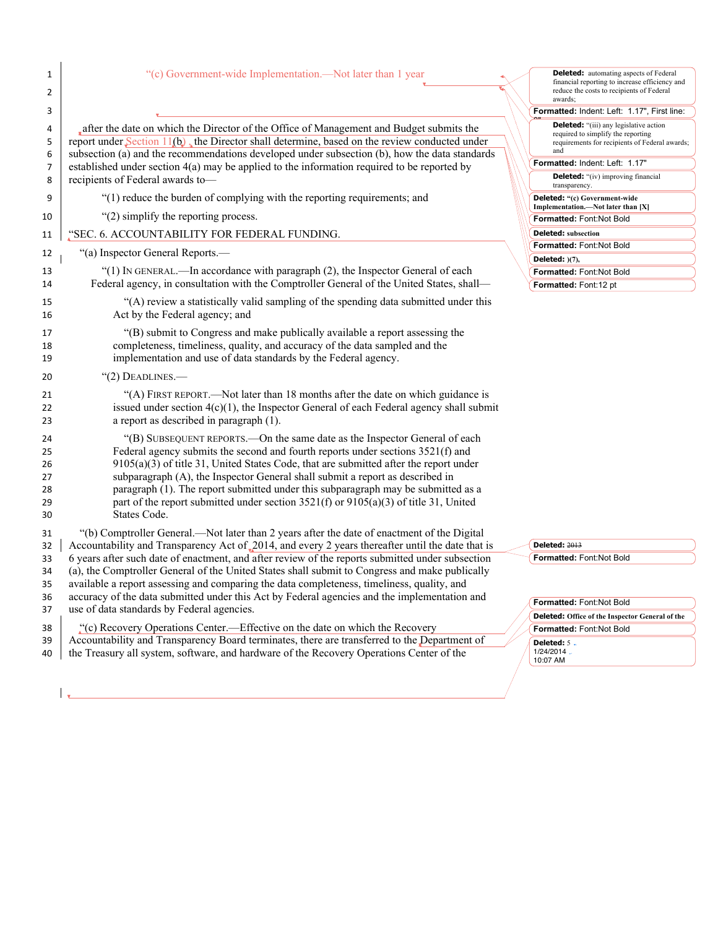| 1<br>$\overline{2}$                    | "(c) Government-wide Implementation.—Not later than 1 year                                                                                                                                                                                                                                                                                                                                                                                                                                                                                 | <b>Deleted:</b> automating aspects of Federal<br>financial reporting to increase efficiency and<br>reduce the costs to recipients of Federal<br>awards; |
|----------------------------------------|--------------------------------------------------------------------------------------------------------------------------------------------------------------------------------------------------------------------------------------------------------------------------------------------------------------------------------------------------------------------------------------------------------------------------------------------------------------------------------------------------------------------------------------------|---------------------------------------------------------------------------------------------------------------------------------------------------------|
| 3                                      |                                                                                                                                                                                                                                                                                                                                                                                                                                                                                                                                            | Formatted: Indent: Left: 1.17", First line:                                                                                                             |
| 4<br>5                                 | after the date on which the Director of the Office of Management and Budget submits the<br>report under Section $11(b)$ , the Director shall determine, based on the review conducted under<br>subsection (a) and the recommendations developed under subsection (b), how the data standards                                                                                                                                                                                                                                               | <b>Deleted:</b> "(iii) any legislative action<br>required to simplify the reporting<br>requirements for recipients of Federal awards<br>and             |
| 6<br>$\overline{7}$                    | established under section $4(a)$ may be applied to the information required to be reported by                                                                                                                                                                                                                                                                                                                                                                                                                                              | Formatted: Indent: Left: 1.17"                                                                                                                          |
| 8                                      | recipients of Federal awards to-                                                                                                                                                                                                                                                                                                                                                                                                                                                                                                           | <b>Deleted:</b> "(iv) improving financial<br>transparency.                                                                                              |
| 9                                      | "(1) reduce the burden of complying with the reporting requirements; and                                                                                                                                                                                                                                                                                                                                                                                                                                                                   | <b>Deleted:</b> "(c) Government-wide                                                                                                                    |
| 10                                     | "(2) simplify the reporting process.                                                                                                                                                                                                                                                                                                                                                                                                                                                                                                       | Implementation.—Not later than [X]<br>Formatted: Font:Not Bold                                                                                          |
| 11                                     | "SEC. 6. ACCOUNTABILITY FOR FEDERAL FUNDING.                                                                                                                                                                                                                                                                                                                                                                                                                                                                                               | <b>Deleted:</b> subsection                                                                                                                              |
|                                        |                                                                                                                                                                                                                                                                                                                                                                                                                                                                                                                                            | Formatted: Font:Not Bold                                                                                                                                |
| 12                                     | "(a) Inspector General Reports.—                                                                                                                                                                                                                                                                                                                                                                                                                                                                                                           | Deleted: $)(7)$ ,                                                                                                                                       |
| 13                                     | "(1) IN GENERAL.—In accordance with paragraph (2), the Inspector General of each                                                                                                                                                                                                                                                                                                                                                                                                                                                           | Formatted: Font:Not Bold                                                                                                                                |
| 14                                     | Federal agency, in consultation with the Comptroller General of the United States, shall—                                                                                                                                                                                                                                                                                                                                                                                                                                                  | Formatted: Font:12 pt                                                                                                                                   |
| 15<br>16                               | "(A) review a statistically valid sampling of the spending data submitted under this<br>Act by the Federal agency; and                                                                                                                                                                                                                                                                                                                                                                                                                     |                                                                                                                                                         |
| 17<br>18<br>19                         | "(B) submit to Congress and make publically available a report assessing the<br>completeness, timeliness, quality, and accuracy of the data sampled and the<br>implementation and use of data standards by the Federal agency.                                                                                                                                                                                                                                                                                                             |                                                                                                                                                         |
| 20                                     | $"(2)$ DEADLINES.—                                                                                                                                                                                                                                                                                                                                                                                                                                                                                                                         |                                                                                                                                                         |
| 21<br>22<br>23                         | "(A) FIRST REPORT.—Not later than 18 months after the date on which guidance is<br>issued under section $4(c)(1)$ , the Inspector General of each Federal agency shall submit<br>a report as described in paragraph (1).                                                                                                                                                                                                                                                                                                                   |                                                                                                                                                         |
| 24<br>25<br>26<br>27<br>28<br>29<br>30 | "(B) SUBSEQUENT REPORTS.—On the same date as the Inspector General of each<br>Federal agency submits the second and fourth reports under sections 3521(f) and<br>$9105(a)(3)$ of title 31, United States Code, that are submitted after the report under<br>subparagraph (A), the Inspector General shall submit a report as described in<br>paragraph (1). The report submitted under this subparagraph may be submitted as a<br>part of the report submitted under section $3521(f)$ or $9105(a)(3)$ of title 31, United<br>States Code. |                                                                                                                                                         |
| 31                                     | "(b) Comptroller General.—Not later than 2 years after the date of enactment of the Digital                                                                                                                                                                                                                                                                                                                                                                                                                                                |                                                                                                                                                         |
| 32                                     | Accountability and Transparency Act of 2014, and every 2 years thereafter until the date that is                                                                                                                                                                                                                                                                                                                                                                                                                                           | <b>Deleted: 2013</b>                                                                                                                                    |
| 33                                     | 6 years after such date of enactment, and after review of the reports submitted under subsection                                                                                                                                                                                                                                                                                                                                                                                                                                           | Formatted: Font:Not Bold                                                                                                                                |
| 34                                     | (a), the Comptroller General of the United States shall submit to Congress and make publically<br>available a report assessing and comparing the data completeness, timeliness, quality, and                                                                                                                                                                                                                                                                                                                                               |                                                                                                                                                         |
| 35<br>36                               | accuracy of the data submitted under this Act by Federal agencies and the implementation and                                                                                                                                                                                                                                                                                                                                                                                                                                               |                                                                                                                                                         |
| 37                                     | use of data standards by Federal agencies.                                                                                                                                                                                                                                                                                                                                                                                                                                                                                                 | Formatted: Font:Not Bold                                                                                                                                |
|                                        |                                                                                                                                                                                                                                                                                                                                                                                                                                                                                                                                            | <b>Deleted:</b> Office of the Inspector General of the                                                                                                  |
| 38                                     | "(c) Recovery Operations Center.—Effective on the date on which the Recovery                                                                                                                                                                                                                                                                                                                                                                                                                                                               | Formatted: Font:Not Bold                                                                                                                                |

39 Accountability and Transparency Board terminates, there are transferred to the Department of 40 the Treasury all system, software, and hardware of the Recovery Operations Center of the

 $\mathbf{L}$ 

| Formatted: Font:Not Bold                        |
|-------------------------------------------------|
| Deleted: Office of the Inspector General of the |
| Formatted: Font:Not Bold                        |
| <b>Deleted: 5.</b>                              |
| $1/24/2014$ .                                   |
| 10:07 AM                                        |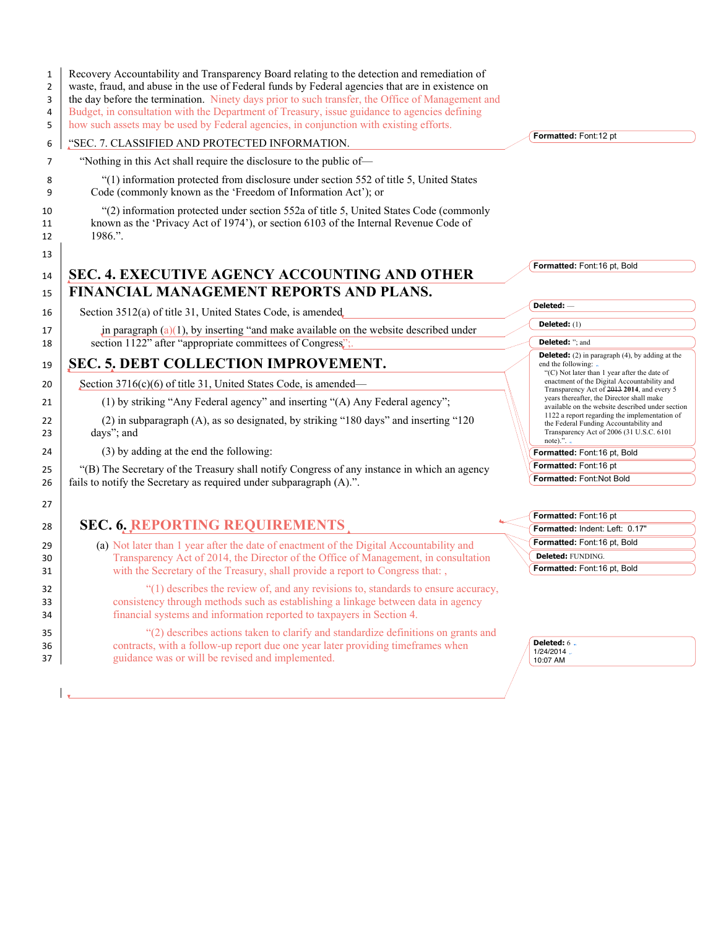| 1<br>$\overline{2}$<br>3<br>4<br>5 | Recovery Accountability and Transparency Board relating to the detection and remediation of<br>waste, fraud, and abuse in the use of Federal funds by Federal agencies that are in existence on<br>the day before the termination. Ninety days prior to such transfer, the Office of Management and<br>Budget, in consultation with the Department of Treasury, issue guidance to agencies defining<br>how such assets may be used by Federal agencies, in conjunction with existing efforts. |                                                                                                               |
|------------------------------------|-----------------------------------------------------------------------------------------------------------------------------------------------------------------------------------------------------------------------------------------------------------------------------------------------------------------------------------------------------------------------------------------------------------------------------------------------------------------------------------------------|---------------------------------------------------------------------------------------------------------------|
| 6                                  | "SEC. 7. CLASSIFIED AND PROTECTED INFORMATION.                                                                                                                                                                                                                                                                                                                                                                                                                                                | Formatted: Font:12 pt                                                                                         |
| 7                                  | "Nothing in this Act shall require the disclosure to the public of-                                                                                                                                                                                                                                                                                                                                                                                                                           |                                                                                                               |
| 8<br>9                             | "(1) information protected from disclosure under section 552 of title 5, United States<br>Code (commonly known as the 'Freedom of Information Act'); or                                                                                                                                                                                                                                                                                                                                       |                                                                                                               |
| 10<br>11<br>12                     | "(2) information protected under section 552a of title 5, United States Code (commonly<br>known as the 'Privacy Act of 1974'), or section 6103 of the Internal Revenue Code of<br>1986.".                                                                                                                                                                                                                                                                                                     |                                                                                                               |
| 13<br>14                           | SEC. 4. EXECUTIVE AGENCY ACCOUNTING AND OTHER                                                                                                                                                                                                                                                                                                                                                                                                                                                 | Formatted: Font:16 pt, Bold                                                                                   |
| 15                                 | FINANCIAL MANAGEMENT REPORTS AND PLANS.                                                                                                                                                                                                                                                                                                                                                                                                                                                       |                                                                                                               |
| 16                                 | Section 3512(a) of title 31, United States Code, is amended                                                                                                                                                                                                                                                                                                                                                                                                                                   | Deleted: -                                                                                                    |
|                                    |                                                                                                                                                                                                                                                                                                                                                                                                                                                                                               | Deleted: (1)                                                                                                  |
| 17<br>18                           | in paragraph $(a)(1)$ , by inserting "and make available on the website described under<br>section 1122" after "appropriate committees of Congress";                                                                                                                                                                                                                                                                                                                                          | Deleted: "; and                                                                                               |
| 19                                 | <b>SEC. 5. DEBT COLLECTION IMPROVEMENT.</b>                                                                                                                                                                                                                                                                                                                                                                                                                                                   | <b>Deleted:</b> (2) in paragraph (4), by adding at the<br>end the following: .                                |
| 20                                 | Section 3716(c)(6) of title 31, United States Code, is amended—                                                                                                                                                                                                                                                                                                                                                                                                                               | "(C) Not later than 1 year after the date of<br>enactment of the Digital Accountability and                   |
| 21                                 | (1) by striking "Any Federal agency" and inserting "(A) Any Federal agency";                                                                                                                                                                                                                                                                                                                                                                                                                  | Transparency Act of 2013 2014, and every 5<br>years thereafter, the Director shall make                       |
|                                    |                                                                                                                                                                                                                                                                                                                                                                                                                                                                                               | available on the website described under section<br>1122 a report regarding the implementation of             |
| 22<br>23                           | (2) in subparagraph (A), as so designated, by striking "180 days" and inserting "120<br>days"; and                                                                                                                                                                                                                                                                                                                                                                                            | the Federal Funding Accountability and<br>Transparency Act of 2006 (31 U.S.C. 6101<br>note).". $\blacksquare$ |
| 24                                 | (3) by adding at the end the following:                                                                                                                                                                                                                                                                                                                                                                                                                                                       | Formatted: Font:16 pt, Bold                                                                                   |
| 25                                 | "(B) The Secretary of the Treasury shall notify Congress of any instance in which an agency                                                                                                                                                                                                                                                                                                                                                                                                   | Formatted: Font:16 pt                                                                                         |
| 26                                 | fails to notify the Secretary as required under subparagraph (A).".                                                                                                                                                                                                                                                                                                                                                                                                                           | Formatted: Font:Not Bold                                                                                      |
| 27                                 |                                                                                                                                                                                                                                                                                                                                                                                                                                                                                               |                                                                                                               |
| 28                                 | <b>SEC. 6. REPORTING REQUIREMENTS</b>                                                                                                                                                                                                                                                                                                                                                                                                                                                         | Formatted: Font:16 pt<br>Formatted: Indent: Left: 0.17"                                                       |
|                                    | (a) Not later than 1 year after the date of enactment of the Digital Accountability and                                                                                                                                                                                                                                                                                                                                                                                                       | Formatted: Font:16 pt, Bold                                                                                   |
| 29<br>30                           | Transparency Act of 2014, the Director of the Office of Management, in consultation                                                                                                                                                                                                                                                                                                                                                                                                           | Deleted: FUNDING.                                                                                             |
| 31                                 | with the Secretary of the Treasury, shall provide a report to Congress that:,                                                                                                                                                                                                                                                                                                                                                                                                                 | Formatted: Font:16 pt, Bold                                                                                   |
| 32<br>33<br>34                     | "(1) describes the review of, and any revisions to, standards to ensure accuracy,<br>consistency through methods such as establishing a linkage between data in agency<br>financial systems and information reported to taxpayers in Section 4.                                                                                                                                                                                                                                               |                                                                                                               |
| 35<br>36<br>37                     | "(2) describes actions taken to clarify and standardize definitions on grants and<br>contracts, with a follow-up report due one year later providing timeframes when<br>guidance was or will be revised and implemented.                                                                                                                                                                                                                                                                      | <b>Deleted: 6.</b><br>1/24/2014.<br>10:07 AM                                                                  |
|                                    |                                                                                                                                                                                                                                                                                                                                                                                                                                                                                               |                                                                                                               |